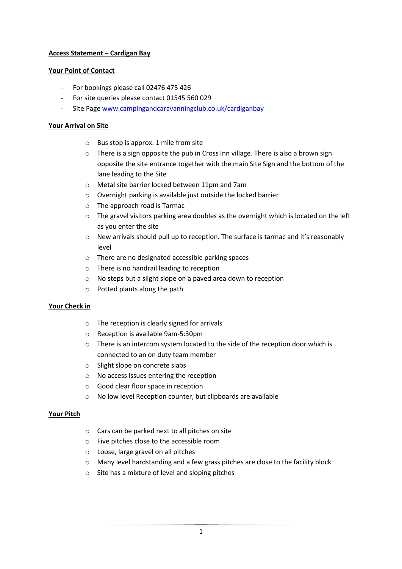# **Access Statement – Cardigan Bay**

### **Your Point of Contact**

- For bookings please call 02476 475 426
- For site queries please contact 01545 560 029
- Site Page [www.campingandcaravanningclub.co.uk/cardiganbay](http://www.campingandcaravanningclub.co.uk/cardiganbay)

### **Your Arrival on Site**

- o Bus stop is approx. 1 mile from site
- o There is a sign opposite the pub in Cross Inn village. There is also a brown sign opposite the site entrance together with the main Site Sign and the bottom of the lane leading to the Site
- o Metal site barrier locked between 11pm and 7am
- o Overnight parking is available just outside the locked barrier
- o The approach road is Tarmac
- $\circ$  The gravel visitors parking area doubles as the overnight which is located on the left as you enter the site
- $\circ$  New arrivals should pull up to reception. The surface is tarmac and it's reasonably level
- o There are no designated accessible parking spaces
- o There is no handrail leading to reception
- o No steps but a slight slope on a paved area down to reception
- o Potted plants along the path

#### **Your Check in**

- o The reception is clearly signed for arrivals
- o Reception is available 9am-5:30pm
- o There is an intercom system located to the side of the reception door which is connected to an on duty team member
- o Slight slope on concrete slabs
- o No access issues entering the reception
- o Good clear floor space in reception
- o No low level Reception counter, but clipboards are available

#### **Your Pitch**

- o Cars can be parked next to all pitches on site
- o Five pitches close to the accessible room
- o Loose, large gravel on all pitches
- $\circ$  Many level hardstanding and a few grass pitches are close to the facility block
- o Site has a mixture of level and sloping pitches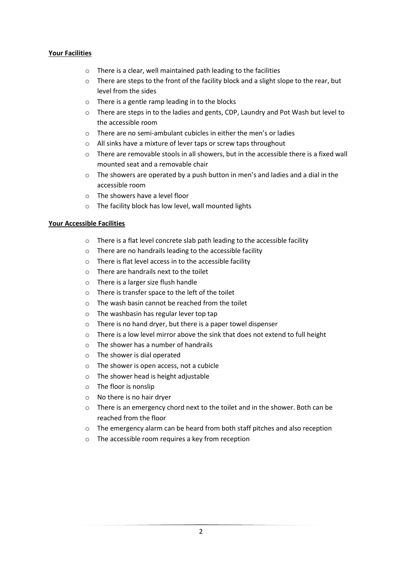# **Your Facilities**

- o There is a clear, well maintained path leading to the facilities
- $\circ$  There are steps to the front of the facility block and a slight slope to the rear, but level from the sides
- $\circ$  There is a gentle ramp leading in to the blocks
- o There are steps in to the ladies and gents, CDP, Laundry and Pot Wash but level to the accessible room
- o There are no semi-ambulant cubicles in either the men's or ladies
- o All sinks have a mixture of lever taps or screw taps throughout
- o There are removable stools in all showers, but in the accessible there is a fixed wall mounted seat and a removable chair
- $\circ$  The showers are operated by a push button in men's and ladies and a dial in the accessible room
- o The showers have a level floor
- o The facility block has low level, wall mounted lights

#### **Your Accessible Facilities**

- o There is a flat level concrete slab path leading to the accessible facility
- o There are no handrails leading to the accessible facility
- o There is flat level access in to the accessible facility
- $\circ$  There are handrails next to the toilet
- o There is a larger size flush handle
- o There is transfer space to the left of the toilet
- o The wash basin cannot be reached from the toilet
- o The washbasin has regular lever top tap
- o There is no hand dryer, but there is a paper towel dispenser
- o There is a low level mirror above the sink that does not extend to full height
- $\circ$  The shower has a number of handrails
- o The shower is dial operated
- o The shower is open access, not a cubicle
- o The shower head is height adjustable
- o The floor is nonslip
- o No there is no hair dryer
- o There is an emergency chord next to the toilet and in the shower. Both can be reached from the floor
- o The emergency alarm can be heard from both staff pitches and also reception
- o The accessible room requires a key from reception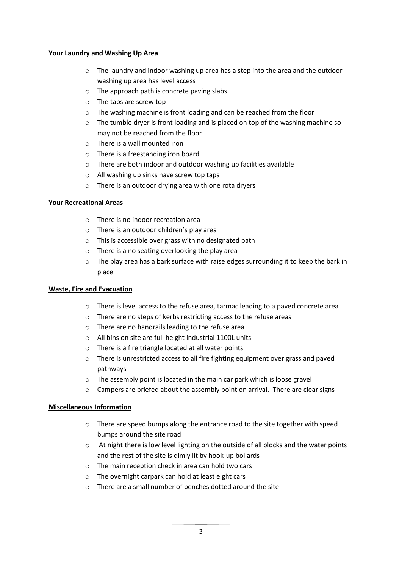#### **Your Laundry and Washing Up Area**

- $\circ$  The laundry and indoor washing up area has a step into the area and the outdoor washing up area has level access
- o The approach path is concrete paving slabs
- o The taps are screw top
- o The washing machine is front loading and can be reached from the floor
- $\circ$  The tumble dryer is front loading and is placed on top of the washing machine so may not be reached from the floor
- o There is a wall mounted iron
- o There is a freestanding iron board
- o There are both indoor and outdoor washing up facilities available
- o All washing up sinks have screw top taps
- o There is an outdoor drying area with one rota dryers

#### **Your Recreational Areas**

- o There is no indoor recreation area
- o There is an outdoor children's play area
- o This is accessible over grass with no designated path
- o There is a no seating overlooking the play area
- $\circ$  The play area has a bark surface with raise edges surrounding it to keep the bark in place

#### **Waste, Fire and Evacuation**

- o There is level access to the refuse area, tarmac leading to a paved concrete area
- o There are no steps of kerbs restricting access to the refuse areas
- o There are no handrails leading to the refuse area
- o All bins on site are full height industrial 1100L units
- o There is a fire triangle located at all water points
- o There is unrestricted access to all fire fighting equipment over grass and paved pathways
- o The assembly point is located in the main car park which is loose gravel
- $\circ$  Campers are briefed about the assembly point on arrival. There are clear signs

#### **Miscellaneous Information**

- o There are speed bumps along the entrance road to the site together with speed bumps around the site road
- o At night there is low level lighting on the outside of all blocks and the water points and the rest of the site is dimly lit by hook-up bollards
- o The main reception check in area can hold two cars
- o The overnight carpark can hold at least eight cars
- o There are a small number of benches dotted around the site